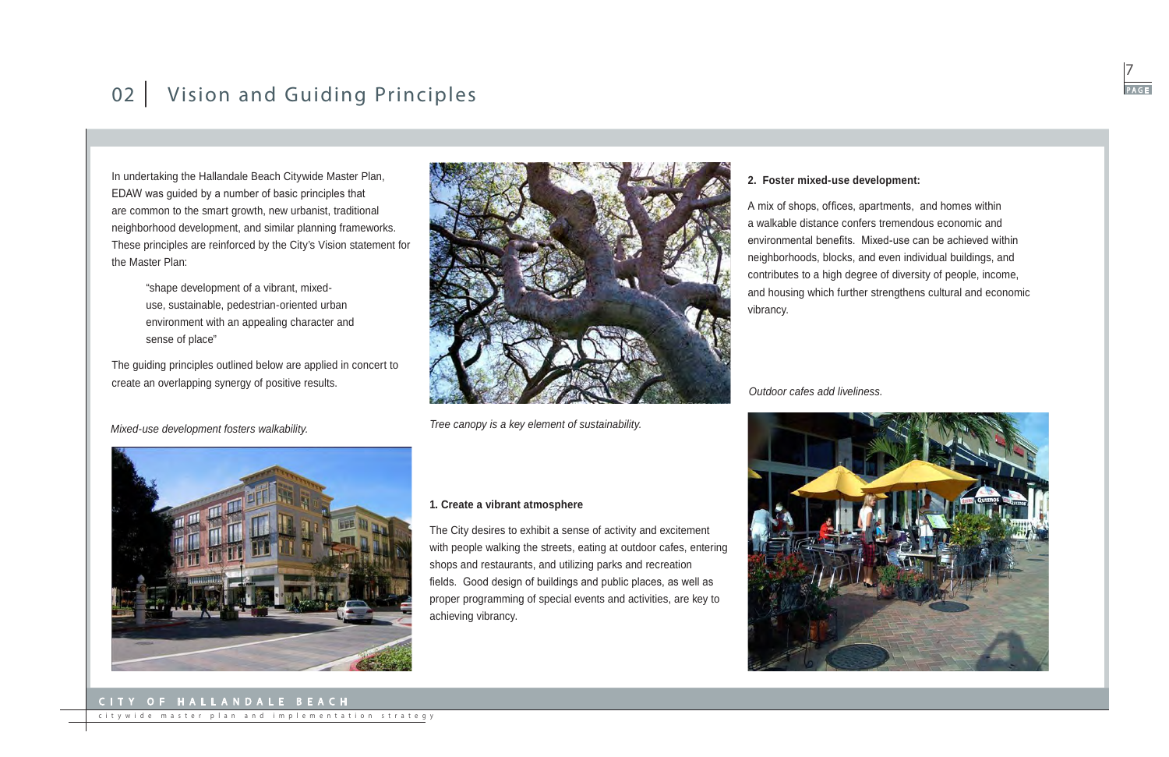### City of Hallandale Bea ch



citywide master plan and implementation strategy

# 02 | Vision and Guiding Principles

In undertaking the Hallandale Beach Citywide Master Plan, EDAW was guided by a number of basic principles that are common to the smart growth, new urbanist, traditional neighborhood development, and similar planning frameworks. These principles are reinforced by the City's Vision statement for the Master Plan:

> "shape development of a vibrant, mixeduse, sustainable, pedestrian-oriented urban environment with an appealing character and sense of place"

The guiding principles outlined below are applied in concert to create an overlapping synergy of positive results.

The City desires to exhibit a sense of activity and excitement



shops and restaurants, and utilizing parks and recreation

proper programming of special events and activities, are key to

achieving vibrancy.

### **2. Foster mixed-use development:**

A mix of shops, offices, apartments, and homes within a walkable distance confers tremendous economic and environmental benefits. Mixed-use can be achieved within neighborhoods, blocks, and even individual buildings, and contributes to a high degree of diversity of people, income, and housing which further strengthens cultural and economic vibrancy.



*Tree canopy is a key element of sustainability.*

*Outdoor cafes add liveliness.*



*Mixed-use development fosters walkability.*